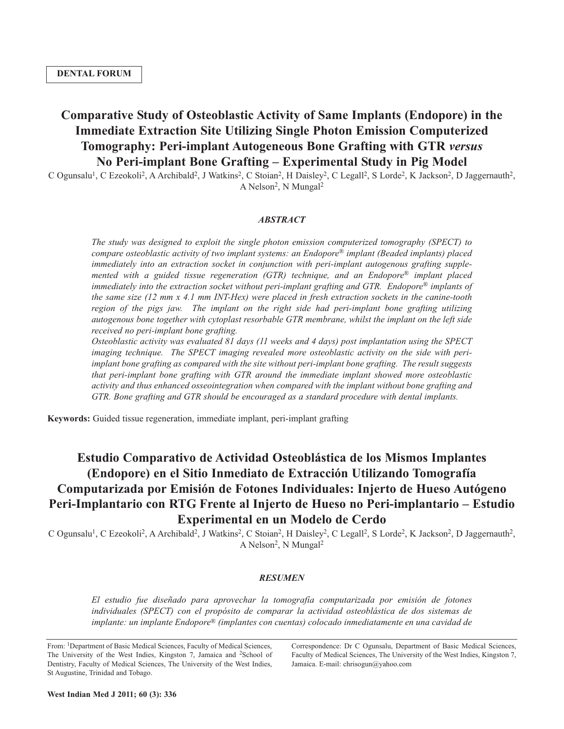# **Comparative Study of Osteoblastic Activity of Same Implants (Endopore) in the Immediate Extraction Site Utilizing Single Photon Emission Computerized Tomography: Peri-implant Autogeneous Bone Grafting with GTR** *versus* **No Peri-implant Bone Grafting – Experimental Study in Pig Model**

C Ogunsalu<sup>1</sup>, C Ezeokoli<sup>2</sup>, A Archibald<sup>2</sup>, J Watkins<sup>2</sup>, C Stoian<sup>2</sup>, H Daisley<sup>2</sup>, C Legall<sup>2</sup>, S Lorde<sup>2</sup>, K Jackson<sup>2</sup>, D Jaggernauth<sup>2</sup>, A Nelson<sup>2</sup>, N Mungal<sup>2</sup>

## *ABSTRACT*

*The study was designed to exploit the single photon emission computerized tomography (SPECT) to compare osteoblastic activity of two implant systems: an Endopore® implant (Beaded implants) placed immediately into an extraction socket in conjunction with peri-implant autogenous grafting supplemented with a guided tissue regeneration (GTR) technique, and an Endopore® implant placed immediately into the extraction socket without peri-implant grafting and GTR. Endopore® implants of the same size (12 mm x 4.1 mm INT-Hex) were placed in fresh extraction sockets in the canine-tooth region of the pigs jaw. The implant on the right side had peri-implant bone grafting utilizing autogenous bone together with cytoplast resorbable GTR membrane, whilst the implant on the left side received no peri-implant bone grafting.*

*Osteoblastic activity was evaluated 81 days (11 weeks and 4 days) post implantation using the SPECT imaging technique. The SPECT imaging revealed more osteoblastic activity on the side with periimplant bone grafting as compared with the site without peri-implant bone grafting. The result suggests that peri-implant bone grafting with GTR around the immediate implant showed more osteoblastic activity and thus enhanced osseointegration when compared with the implant without bone grafting and GTR. Bone grafting and GTR should be encouraged as a standard procedure with dental implants.*

**Keywords:** Guided tissue regeneration, immediate implant, peri-implant grafting

# **Estudio Comparativo de Actividad Osteoblástica de los Mismos Implantes (Endopore) en el Sitio Inmediato de Extracción Utilizando Tomografía Computarizada por Emisión de Fotones Individuales: Injerto de Hueso Autógeno Peri-Implantario con RTG Frente al Injerto de Hueso no Peri-implantario – Estudio Experimental en un Modelo de Cerdo**

C Ogunsalu<sup>1</sup>, C Ezeokoli<sup>2</sup>, A Archibald<sup>2</sup>, J Watkins<sup>2</sup>, C Stoian<sup>2</sup>, H Daisley<sup>2</sup>, C Legall<sup>2</sup>, S Lorde<sup>2</sup>, K Jackson<sup>2</sup>, D Jaggernauth<sup>2</sup>, A Nelson<sup>2</sup>, N Mungal<sup>2</sup>

## *RESUMEN*

*El estudio fue diseñado para aprovechar la tomografía computarizada por emisión de fotones individuales (SPECT) con el propósito de comparar la actividad osteoblástica de dos sistemas de implante: un implante Endopore® (implantes con cuentas) colocado inmediatamente en una cavidad de*

From: <sup>1</sup>Department of Basic Medical Sciences, Faculty of Medical Sciences, The University of the West Indies, Kingston 7, Jamaica and <sup>2</sup>School of Dentistry, Faculty of Medical Sciences, The University of the West Indies, St Augustine, Trinidad and Tobago.

Correspondence: Dr C Ogunsalu, Department of Basic Medical Sciences, Faculty of Medical Sciences, The University of the West Indies, Kingston 7, Jamaica. E-mail: chrisogun@yahoo.com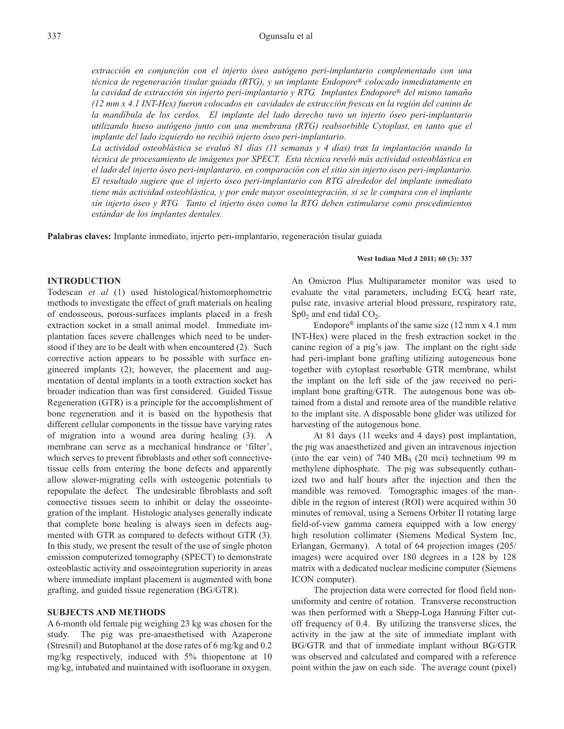*extracción en conjunción con el injerto óseo autógeno peri-implantario complementado con una técnica de regeneración tisular guiada (RTG), y un implante Endopore® colocado inmediatamente en la cavidad de extracción sin injerto peri-implantario y RTG. Implantes Endopore® del mismo tamaño* (12 mm x 4.1 INT-Hex) fueron colocados en cavidades de extracción frescas en la región del canino de *la mandíbula de los cerdos. El implante del lado derecho tuvo un injerto óseo peri-implantario utilizando hueso autógeno junto con una membrana (RTG) reabsorbible Cytoplast, en tanto que el implante del lado izquierdo no recibió injerto óseo peri-implantario.*

*La actividad osteoblástica se evaluó 81 días (11 semanas y 4 días) tras la implantación usando la técnica de procesamiento de imágenes por SPECT. Esta técnica reveló más actividad osteoblástica en el lado del injerto óseo peri-implantario, en comparación con el sitio sin injerto óseo peri-implantario. El resultado sugiere que el injerto óseo peri-implantario con RTG alrededor del implante inmediato tiene más actividad osteoblástica, y por ende mayor oseointegración, si se le compara con el implante sin injerto óseo y RTG. Tanto el injerto óseo como la RTG deben estimularse como procedimientos estándar de los implantes dentales.*

**Palabras claves:** Implante inmediato, injerto peri-implantario, regeneración tisular guiada

## **INTRODUCTION**

Todescan *et al* (1) used histological/histomorphometric methods to investigate the effect of graft materials on healing of endosseous, porous-surfaces implants placed in a fresh extraction socket in a small animal model. Immediate implantation faces severe challenges which need to be understood if they are to be dealt with when encountered (2). Such corrective action appears to be possible with surface engineered implants (2); however, the placement and augmentation of dental implants in a tooth extraction socket has broader indication than was first considered. Guided Tissue Regeneration (GTR) is a principle for the accomplishment of bone regeneration and it is based on the hypothesis that different cellular components in the tissue have varying rates of migration into a wound area during healing (3). A membrane can serve as a mechanical hindrance or 'filter', which serves to prevent fibroblasts and other soft connectivetissue cells from entering the bone defects and apparently allow slower-migrating cells with osteogenic potentials to repopulate the defect. The undesirable fibroblasts and soft connective tissues seem to inhibit or delay the osseointegration of the implant. Histologic analyses generally indicate that complete bone healing is always seen in defects augmented with GTR as compared to defects without GTR (3). In this study, we present the result of the use of single photon emission computerized tomography (SPECT) to demonstrate osteoblastic activity and osseointegration superiority in areas where immediate implant placement is augmented with bone grafting, and guided tissue regeneration (BG/GTR).

## **SUBJECTS AND METHODS**

A 6-month old female pig weighing 23 kg was chosen for the study. The pig was pre-anaesthetised with Azaperone (Stresnil) and Butophanol at the dose rates of 6 mg/kg and 0.2 mg/kg respectively, induced with 5% thiopentone at 10 mg/kg, intubated and maintained with isofluorane in oxygen.

#### **West Indian Med J 2011; 60 (3): 337**

An Omicron Plus Multiparameter monitor was used to evaluate the vital parameters, including ECG, heart rate, pulse rate, invasive arterial blood pressure, respiratory rate,  $Sp0<sub>2</sub>$  and end tidal  $CO<sub>2</sub>$ .

Endopore<sup>®</sup> implants of the same size  $(12 \text{ mm} \times 4.1 \text{ mm})$ INT-Hex) were placed in the fresh extraction socket in the canine region of a pig's jaw. The implant on the right side had peri-implant bone grafting utilizing autogeneous bone together with cytoplast resorbable GTR membrane, whilst the implant on the left side of the jaw received no periimplant bone grafting/GTR. The autogenous bone was obtained from a distal and remote area of the mandible relative to the implant site. A disposable bone glider was utilized for harvesting of the autogenous bone.

At 81 days (11 weeks and 4 days) post implantation, the pig was anaesthetized and given an intravenous injection (into the ear vein) of 740 MBq (20 mci) technetium 99 m methylene diphosphate. The pig was subsequently euthanized two and half hours after the injection and then the mandible was removed. Tomographic images of the mandible in the region of interest (ROI) were acquired within 30 minutes of removal, using a Semens Orbiter II rotating large field-of-view gamma camera equipped with a low energy high resolution collimater (Siemens Medical System Inc, Erlangan, Germany). A total of 64 projection images (205/ images) were acquired over 180 degrees in a 128 by 128 matrix with a dedicated nuclear medicine computer (Siemens ICON computer).

The projection data were corrected for flood field nonuniformity and centre of rotation. Transverse reconstruction was then performed with a Shepp-Loga Hanning Filter cutoff frequency of 0.4. By utilizing the transverse slices, the activity in the jaw at the site of immediate implant with BG/GTR and that of immediate implant without BG/GTR was observed and calculated and compared with a reference point within the jaw on each side. The average count (pixel)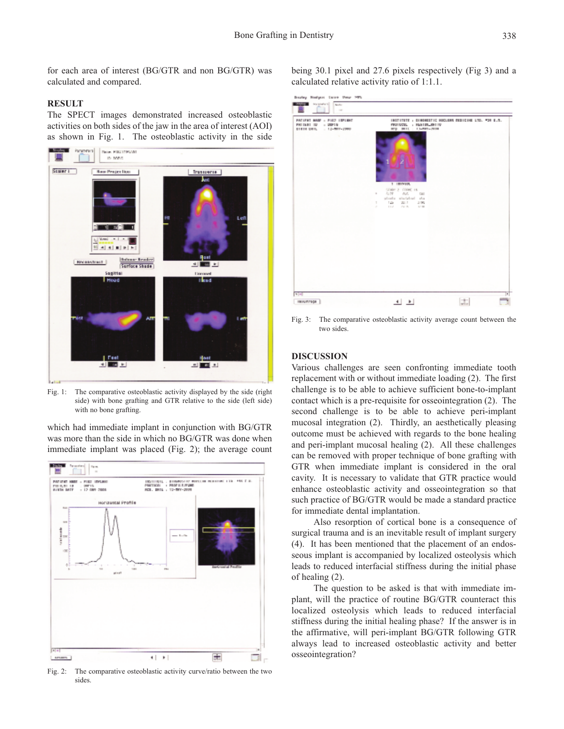for each area of interest (BG/GTR and non BG/GTR) was calculated and compared.

### **RESULT**

The SPECT images demonstrated increased osteoblastic activities on both sides of the jaw in the area of interest (AOI) as shown in Fig. 1. The osteoblastic activity in the side



Fig. 1: The comparative osteoblastic activity displayed by the side (right) side) with bone grafting and GTR relative to the side (left side) with no bone grafting.

which had immediate implant in conjunction with BG/GTR was more than the side in which no BG/GTR was done when immediate implant was placed (Fig. 2); the average count



Fig. 2: The comparative osteoblastic activity curve/ratio between the two sides.

being 30.1 pixel and 27.6 pixels respectively (Fig 3) and a calculated relative activity ratio of 1:1.1.

| PACIFIED HARD - FIRST LIPLINE<br>PACINAL IN 1979 IN<br>\$1810 USS. . 12-MEV-2990 | INSTITUTE : DIMONESTIC NUCLEAR RESIDING LTD. POR E.R.<br>PRODUCTS, C. HARTSTART IV.<br>ROLL BELL 1, LEWIS CO. |
|----------------------------------------------------------------------------------|---------------------------------------------------------------------------------------------------------------|
| ÷                                                                                |                                                                                                               |
|                                                                                  | 1 IBINYA,<br>STARK 2 (1996) 16                                                                                |
|                                                                                  | $\sim$<br>ALC: Y<br><b>PUC.</b><br><b>Call</b><br>abolic statulari, da                                        |
|                                                                                  | 126<br>20.1<br>- 2.06<br>٠<br>$\mathcal{M}^{\prime}$<br>$1.1 - 1.$<br>27.20<br>ALC NOT                        |
|                                                                                  |                                                                                                               |
|                                                                                  |                                                                                                               |
|                                                                                  |                                                                                                               |
|                                                                                  |                                                                                                               |
|                                                                                  |                                                                                                               |
|                                                                                  |                                                                                                               |
|                                                                                  |                                                                                                               |

Fig. 3: The comparative osteoblastic activity average count between the two sides.

## **DISCUSSION**

Various challenges are seen confronting immediate tooth replacement with or without immediate loading (2). The first challenge is to be able to achieve sufficient bone-to-implant contact which is a pre-requisite for osseointegration (2). The second challenge is to be able to achieve peri-implant mucosal integration (2). Thirdly, an aesthetically pleasing outcome must be achieved with regards to the bone healing and peri-implant mucosal healing (2). All these challenges can be removed with proper technique of bone grafting with GTR when immediate implant is considered in the oral cavity. It is necessary to validate that GTR practice would enhance osteoblastic activity and osseointegration so that such practice of BG/GTR would be made a standard practice for immediate dental implantation.

Also resorption of cortical bone is a consequence of surgical trauma and is an inevitable result of implant surgery (4). It has been mentioned that the placement of an endosseous implant is accompanied by localized osteolysis which leads to reduced interfacial stiffness during the initial phase of healing (2).

The question to be asked is that with immediate implant, will the practice of routine BG/GTR counteract this localized osteolysis which leads to reduced interfacial stiffness during the initial healing phase? If the answer is in the affirmative, will peri-implant BG/GTR following GTR always lead to increased osteoblastic activity and better osseointegration?